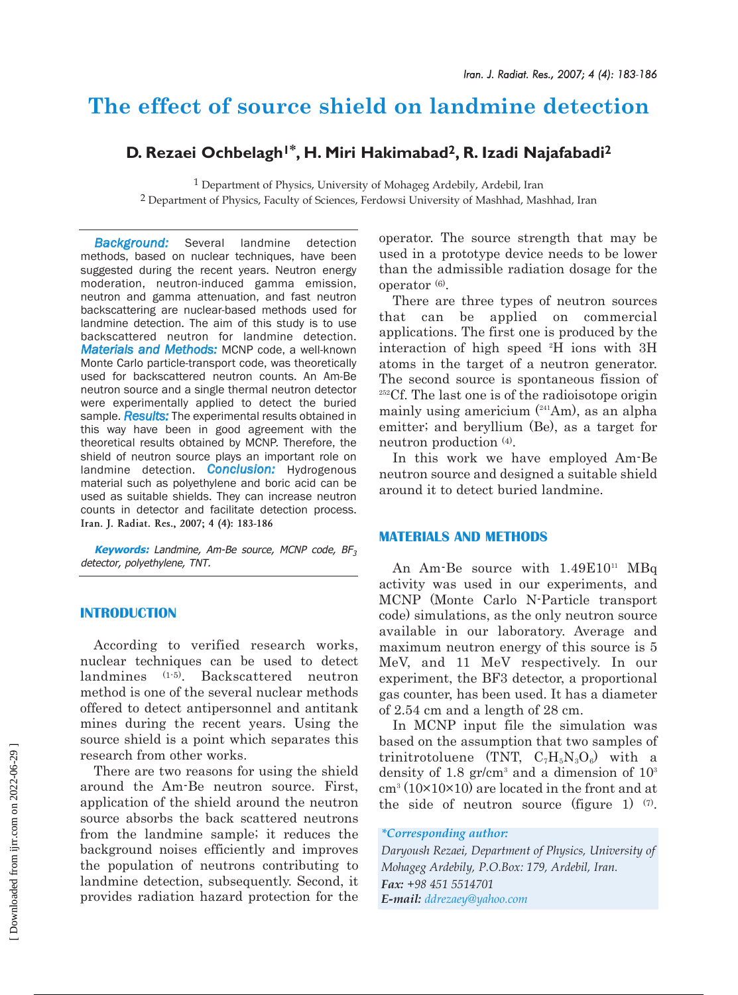# **The effect of source shield on landmine detection**

## **D. Rezaei Ochbelagh1\*, H. Miri Hakimabad2, R. Izadi Najafabadi2**

<sup>1</sup> Department of Physics, University of Mohageg Ardebily, Ardebil, Iran <sup>2</sup> Department of Physics, Faculty of Sciences, Ferdowsi University of Mashhad, Mashhad, Iran

*Background:* Several landmine detection methods, based on nuclear techniques, have been suggested during the recent years. Neutron energy moderation, neutron-induced gamma emission, neutron and gamma attenuation, and fast neutron backscattering are nuclear-based methods used for landmine detection. The aim of this study is to use backscattered neutron for landmine detection. *Materials and Methods:* MCNP code, a well-known Monte Carlo particle-transport code, was theoretically used for backscattered neutron counts. An Am-Be neutron source and a single thermal neutron detector were experimentally applied to detect the buried sample. *Results:* The experimental results obtained in this way have been in good agreement with the theoretical results obtained by MCNP. Therefore, the shield of neutron source plays an important role on landmine detection. *Conclusion:* Hydrogenous material such as polyethylene and boric acid can be used as suitable shields. They can increase neutron counts in detector and facilitate detection process. **Iran. J. Radiat. Res., 2007; 4 (4): 183-186**

**Keywords:** Landmine, Am-Be source, MCNP code, BF<sup>3</sup> detector, polyethylene, TNT.

## **INTRODUCTION**

According to verified research works, nuclear techniques can be used to detect landmines (1-5). Backscattered neutron method is one of the several nuclear methods offered to detect antipersonnel and antitank mines during the recent years. Using the source shield is a point which separates this research from other works.

There are two reasons for using the shield around the Am-Be neutron source. First, application of the shield around the neutron source absorbs the back scattered neutrons from the landmine sample; it reduces the background noises efficiently and improves the population of neutrons contributing to landmine detection, subsequently. Second, it provides radiation hazard protection for the operator. The source strength that may be used in a prototype device needs to be lower than the admissible radiation dosage for the operator (6).

There are three types of neutron sources that can be applied on commercial applications. The first one is produced by the interaction of high speed 2 H ions with 3H atoms in the target of a neutron generator. The second source is spontaneous fission of 252Cf. The last one is of the radioisotope origin mainly using americium  $(241)$ Am), as an alpha emitter; and beryllium (Be), as a target for neutron production (4).

In this work we have employed Am-Be neutron source and designed a suitable shield around it to detect buried landmine.

## **MATERIALS AND METHODS**

An Am-Be source with  $1.49E10^{11}$  MBq activity was used in our experiments, and MCNP (Monte Carlo N-Particle transport code) simulations, as the only neutron source available in our laboratory. Average and maximum neutron energy of this source is 5 MeV, and 11 MeV respectively. In our experiment, the BF3 detector, a proportional gas counter, has been used. It has a diameter of 2.54 cm and a length of 28 cm.

In MCNP input file the simulation was based on the assumption that two samples of trinitrotoluene (TNT,  $C_7H_5N_3O_6$ ) with a density of 1.8  $gr/cm^3$  and a dimension of  $10^3$  $\text{cm}^3 \left(10 \times 10 \times 10\right)$  are located in the front and at the side of neutron source (figure 1)  $(7)$ .

#### *\*Corresponding author:*

*Daryoush Rezaei, Department of Physics, University of Mohageg Ardebily, P.O.Box: 179, Ardebil, Iran. Fax: +98 451 5514701 E-mail: ddrezaey@yahoo.com*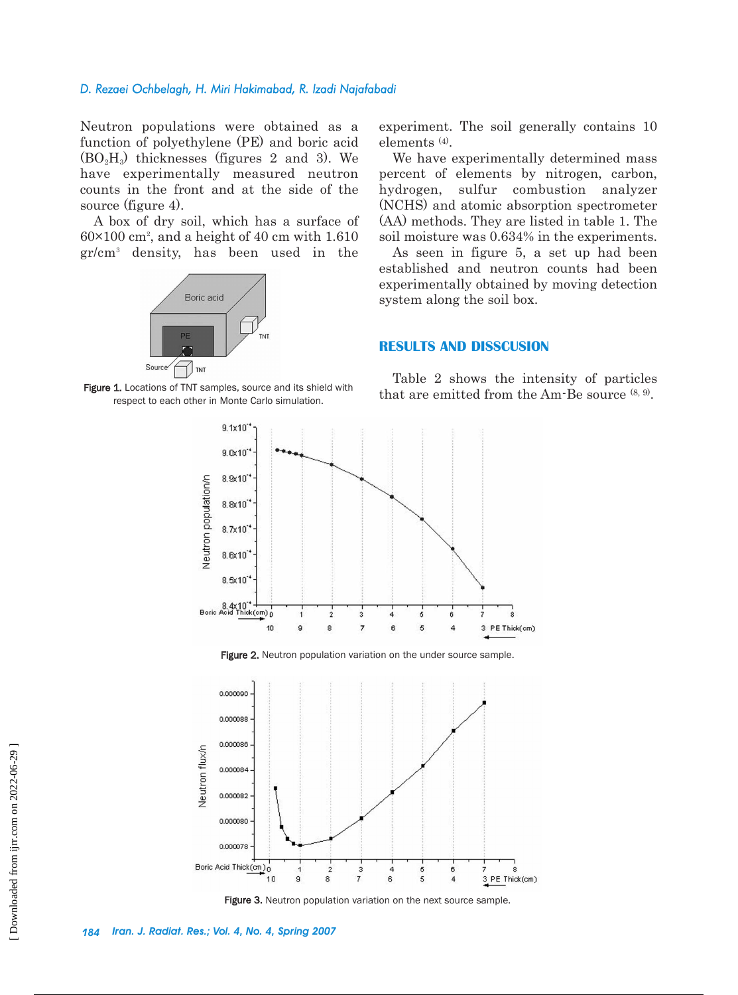### *D. Rezaei Ochbelagh, H. Miri Hakimabad, R. Izadi Najafabadi*

Neutron populations were obtained as a function of polyethylene (PE) and boric acid  $(BO<sub>2</sub>H<sub>3</sub>)$  thicknesses (figures 2 and 3). We have experimentally measured neutron counts in the front and at the side of the source (figure 4).

A box of dry soil, which has a surface of  $60\times100$  cm<sup>2</sup>, and a height of 40 cm with 1.610 gr/cm3 density, has been used in the



respect to each other in Monte Carlo simulation.

experiment. The soil generally contains 10 elements (4).

We have experimentally determined mass percent of elements by nitrogen, carbon, hydrogen, sulfur combustion analyzer (NCHS) and atomic absorption spectrometer (AA) methods. They are listed in table 1. The soil moisture was 0.634% in the experiments.

As seen in figure 5, a set up had been established and neutron counts had been experimentally obtained by moving detection system along the soil box.

## **RESULTS AND DISSCUSION**

Table 2 shows the intensity of particles Figure 1. Locations of TNT samples, source and its shield with  $\frac{1}{2}$  that are emitted from the Am-Be source  $(8, 9)$ .



Figure 2. Neutron population variation on the under source sample.



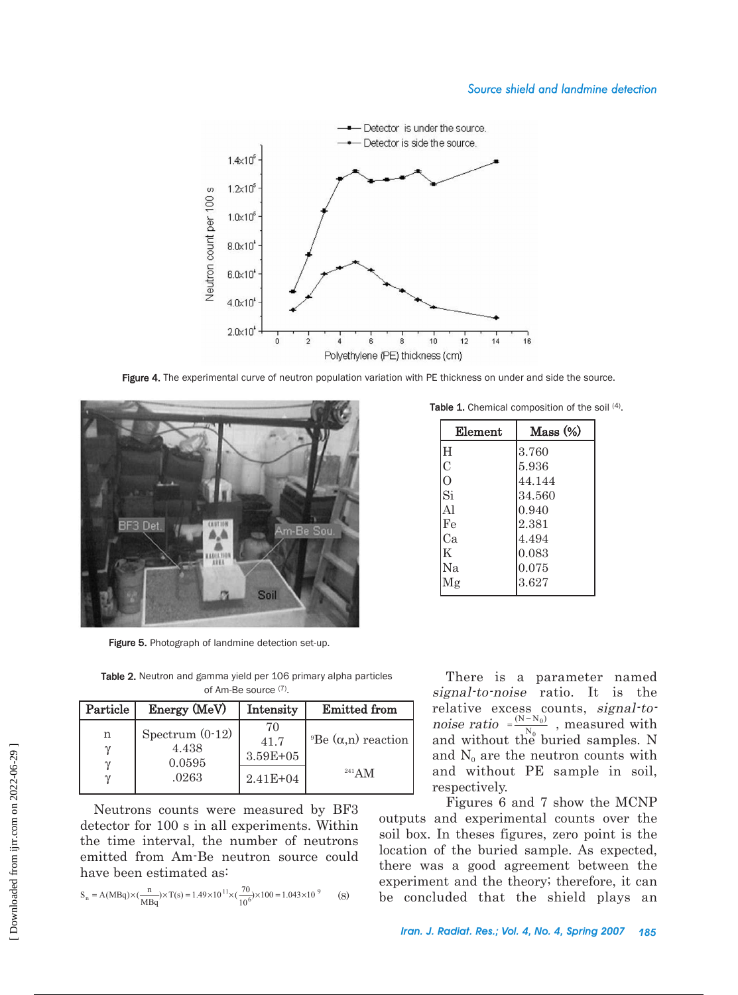

Figure 4. The experimental curve of neutron population variation with PE thickness on under and side the source.



Figure 5. Photograph of landmine detection set-up.

Element | Mass (%)

Table 1. Chemical composition of the soil (4).

| Element        | Mass (%) |  |
|----------------|----------|--|
| H              | 3.760    |  |
| $\overline{C}$ | 5.936    |  |
| $\Omega$       | 44.144   |  |
| Si             | 34.560   |  |
| Al             | 0.940    |  |
| Fe             | 2.381    |  |
| Ca             | 4.494    |  |
| Κ              | 0.083    |  |
| Na             | 0.075    |  |
| Λlg            | 3.627    |  |

There is a parameter named signal-to-noise ratio. It is the relative excess counts, signal-tonoise ratio  $=\frac{(N-N_0)}{N}$ , measured with and without the buried samples. N and  $N_0$  are the neutron counts with and without PE sample in soil, respectively.  $\overline{0}$  $\mathbf 0$  $(N - N_0)$  $=\frac{(N-n)(N-n)}{N}$ 

Figures 6 and 7 show the MCNP outputs and experimental counts over the soil box. In theses figures, zero point is the location of the buried sample. As expected, there was a good agreement between the experiment and the theory; therefore, it can be concluded that the shield plays an

Table 2. Neutron and gamma yield per 106 primary alpha particles of Am-Be source (7).

| Particle | Energy (MeV)                                  | Intensity                              | <b>Emitted from</b>                           |
|----------|-----------------------------------------------|----------------------------------------|-----------------------------------------------|
| n        | Spectrum $(0-12)$<br>4.438<br>0.0595<br>.0263 | 70<br>41.7<br>3.59E+05<br>$2.41E + 04$ | <sup>9</sup> Be (α,n) reaction<br>$^{241}$ AM |

Neutrons counts were measured by BF3 detector for 100 s in all experiments. Within the time interval, the number of neutrons emitted from Am-Be neutron source could have been estimated as:

$$
S_n = A(MBq) \times (\frac{n}{MBq}) \times T(s) = 1.49 \times 10^{11} \times (\frac{70}{10^6}) \times 100 = 1.043 \times 10^{9}
$$
 (8)